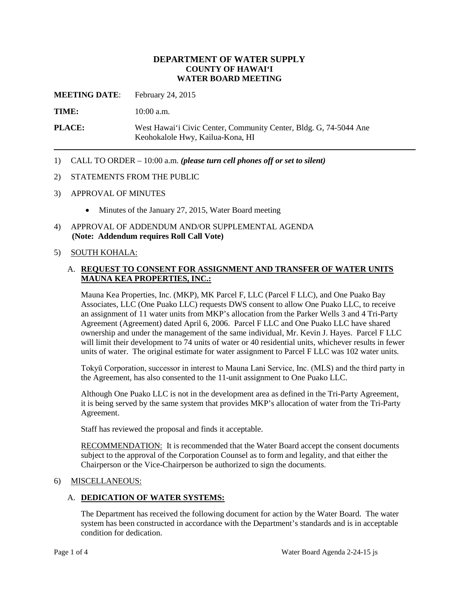# **DEPARTMENT OF WATER SUPPLY COUNTY OF HAWAI'I WATER BOARD MEETING**

**MEETING DATE**: February 24, 2015

**TIME:** 10:00 a.m.

**PLACE:** West Hawai'i Civic Center, Community Center, Bldg. G, 74-5044 Ane Keohokalole Hwy, Kailua-Kona, HI

1) CALL TO ORDER – 10:00 a.m. *(please turn cell phones off or set to silent)*

## 2) STATEMENTS FROM THE PUBLIC

- 3) APPROVAL OF MINUTES
	- Minutes of the January 27, 2015, Water Board meeting
- 4) APPROVAL OF ADDENDUM AND/OR SUPPLEMENTAL AGENDA **(Note: Addendum requires Roll Call Vote)**

## 5) SOUTH KOHALA:

# A. **REQUEST TO CONSENT FOR ASSIGNMENT AND TRANSFER OF WATER UNITS MAUNA KEA PROPERTIES, INC.:**

Mauna Kea Properties, Inc. (MKP), MK Parcel F, LLC (Parcel F LLC), and One Puako Bay Associates, LLC (One Puako LLC) requests DWS consent to allow One Puako LLC, to receive an assignment of 11 water units from MKP's allocation from the Parker Wells 3 and 4 Tri-Party Agreement (Agreement) dated April 6, 2006. Parcel F LLC and One Puako LLC have shared ownership and under the management of the same individual, Mr. Kevin J. Hayes. Parcel F LLC will limit their development to 74 units of water or 40 residential units, whichever results in fewer units of water. The original estimate for water assignment to Parcel F LLC was 102 water units.

Tokyū Corporation, successor in interest to Mauna Lani Service, Inc. (MLS) and the third party in the Agreement, has also consented to the 11-unit assignment to One Puako LLC.

Although One Puako LLC is not in the development area as defined in the Tri-Party Agreement, it is being served by the same system that provides MKP's allocation of water from the Tri-Party Agreement.

Staff has reviewed the proposal and finds it acceptable.

RECOMMENDATION: It is recommended that the Water Board accept the consent documents subject to the approval of the Corporation Counsel as to form and legality, and that either the Chairperson or the Vice-Chairperson be authorized to sign the documents.

# 6) MISCELLANEOUS:

# A. **DEDICATION OF WATER SYSTEMS:**

The Department has received the following document for action by the Water Board. The water system has been constructed in accordance with the Department's standards and is in acceptable condition for dedication.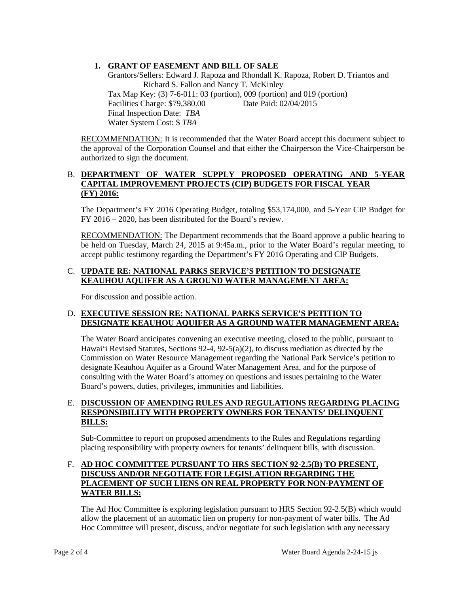# **1. GRANT OF EASEMENT AND BILL OF SALE**

Grantors/Sellers: Edward J. Rapoza and Rhondall K. Rapoza, Robert D. Triantos and Richard S. Fallon and Nancy T. McKinley Tax Map Key: (3) 7-6-011: 03 (portion), 009 (portion) and 019 (portion) Facilities Charge: \$79,380.00 Date Paid: 02/04/2015 Final Inspection Date: *TBA* Water System Cost: \$ *TBA*

RECOMMENDATION: It is recommended that the Water Board accept this document subject to the approval of the Corporation Counsel and that either the Chairperson the Vice-Chairperson be authorized to sign the document.

#### B. **DEPARTMENT OF WATER SUPPLY PROPOSED OPERATING AND 5-YEAR CAPITAL IMPROVEMENT PROJECTS (CIP) BUDGETS FOR FISCAL YEAR (FY) 2016:**

The Department's FY 2016 Operating Budget, totaling \$53,174,000, and 5-Year CIP Budget for FY 2016 – 2020, has been distributed for the Board's review.

RECOMMENDATION: The Department recommends that the Board approve a public hearing to be held on Tuesday, March 24, 2015 at 9:45a.m., prior to the Water Board's regular meeting, to accept public testimony regarding the Department's FY 2016 Operating and CIP Budgets.

#### C. **UPDATE RE: NATIONAL PARKS SERVICE'S PETITION TO DESIGNATE KEAUHOU AQUIFER AS A GROUND WATER MANAGEMENT AREA:**

For discussion and possible action.

## D. **EXECUTIVE SESSION RE: NATIONAL PARKS SERVICE'S PETITION TO DESIGNATE KEAUHOU AQUIFER AS A GROUND WATER MANAGEMENT AREA:**

The Water Board anticipates convening an executive meeting, closed to the public, pursuant to Hawai'i Revised Statutes, Sections 92-4, 92-5(a)(2), to discuss mediation as directed by the Commission on Water Resource Management regarding the National Park Service's petition to designate Keauhou Aquifer as a Ground Water Management Area, and for the purpose of consulting with the Water Board's attorney on questions and issues pertaining to the Water Board's powers, duties, privileges, immunities and liabilities.

# E. **DISCUSSION OF AMENDING RULES AND REGULATIONS REGARDING PLACING RESPONSIBILITY WITH PROPERTY OWNERS FOR TENANTS' DELINQUENT BILLS:**

Sub-Committee to report on proposed amendments to the Rules and Regulations regarding placing responsibility with property owners for tenants' delinquent bills, with discussion.

# F. **AD HOC COMMITTEE PURSUANT TO HRS SECTION 92-2.5(B) TO PRESENT, DISCUSS AND/OR NEGOTIATE FOR LEGISLATION REGARDING THE PLACEMENT OF SUCH LIENS ON REAL PROPERTY FOR NON-PAYMENT OF WATER BILLS:**

The Ad Hoc Committee is exploring legislation pursuant to HRS Section 92-2.5(B) which would allow the placement of an automatic lien on property for non-payment of water bills. The Ad Hoc Committee will present, discuss, and/or negotiate for such legislation with any necessary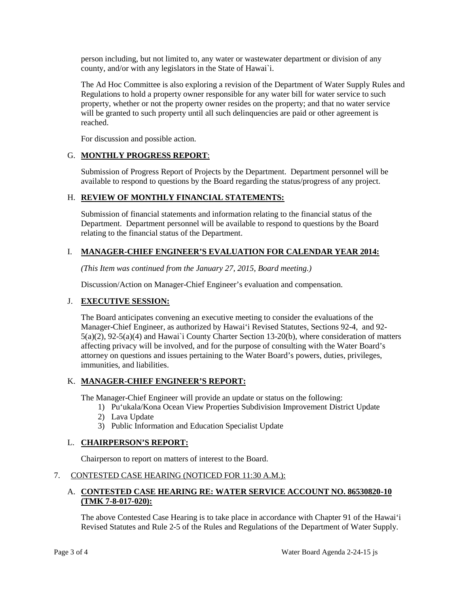person including, but not limited to, any water or wastewater department or division of any county, and/or with any legislators in the State of Hawai`i.

The Ad Hoc Committee is also exploring a revision of the Department of Water Supply Rules and Regulations to hold a property owner responsible for any water bill for water service to such property, whether or not the property owner resides on the property; and that no water service will be granted to such property until all such delinquencies are paid or other agreement is reached.

For discussion and possible action.

# G. **MONTHLY PROGRESS REPORT**:

Submission of Progress Report of Projects by the Department. Department personnel will be available to respond to questions by the Board regarding the status/progress of any project.

# H. **REVIEW OF MONTHLY FINANCIAL STATEMENTS:**

Submission of financial statements and information relating to the financial status of the Department. Department personnel will be available to respond to questions by the Board relating to the financial status of the Department.

# I. **MANAGER-CHIEF ENGINEER'S EVALUATION FOR CALENDAR YEAR 2014:**

*(This Item was continued from the January 27, 2015, Board meeting.)*

Discussion/Action on Manager-Chief Engineer's evaluation and compensation.

# J. **EXECUTIVE SESSION:**

The Board anticipates convening an executive meeting to consider the evaluations of the Manager-Chief Engineer, as authorized by Hawai'i Revised Statutes, Sections 92-4, and 92- 5(a)(2), 92-5(a)(4) and Hawai`i County Charter Section 13-20(b), where consideration of matters affecting privacy will be involved, and for the purpose of consulting with the Water Board's attorney on questions and issues pertaining to the Water Board's powers, duties, privileges, immunities, and liabilities.

# K. **MANAGER-CHIEF ENGINEER'S REPORT:**

The Manager-Chief Engineer will provide an update or status on the following:

- 1) Pu'ukala/Kona Ocean View Properties Subdivision Improvement District Update
- 2) Lava Update
- 3) Public Information and Education Specialist Update

#### L. **CHAIRPERSON'S REPORT:**

Chairperson to report on matters of interest to the Board.

#### 7. CONTESTED CASE HEARING (NOTICED FOR 11:30 A.M.):

# A. **CONTESTED CASE HEARING RE: WATER SERVICE ACCOUNT NO. 86530820-10 (TMK 7-8-017-020):**

The above Contested Case Hearing is to take place in accordance with Chapter 91 of the Hawai'i Revised Statutes and Rule 2-5 of the Rules and Regulations of the Department of Water Supply.